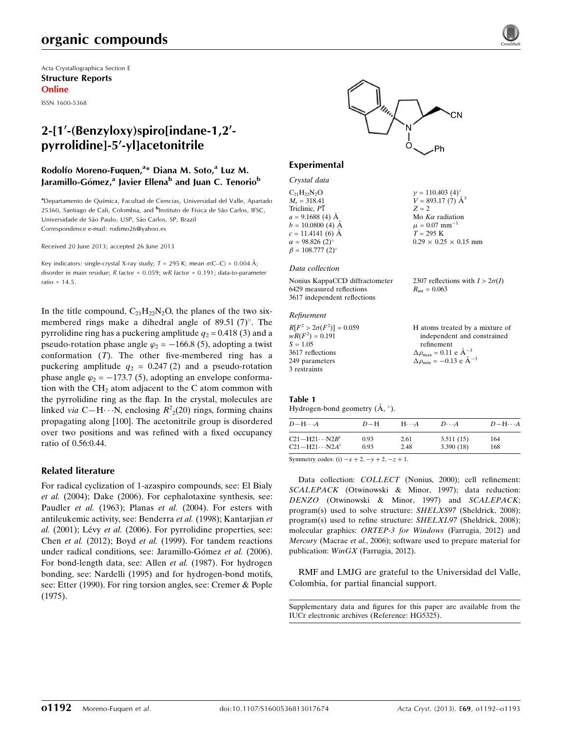# organic compounds

Acta Crystallographica Section E Structure Reports Online

ISSN 1600-5368

# 2-[1'-(Benzyloxy)spiro[indane-1,2'pyrrolidinel-5'-yllacetonitrile

## Rodolfo Moreno-Fuquen,<sup>a\*</sup> Diana M. Soto,<sup>a</sup> Luz M. Jaramillo-Gómez,<sup>a</sup> Javier Ellena<sup>b</sup> and Juan C. Tenorio<sup>b</sup>

aDepartamento de Química, Facultad de Ciencias, Universidad del Valle, Apartado 25360, Santiago de Cali, Colombia, and <sup>b</sup>Instituto de Física de São Carlos, IFSC, Universidade de São Paulo, USP, São Carlos, SP, Brazil Correspondence e-mail: [rodimo26@yahoo.es](https://scripts.iucr.org/cgi-bin/cr.cgi?rm=pdfbb&cnor=hg5325&bbid=BB19)

Received 20 June 2013; accepted 26 June 2013

Key indicators: single-crystal X-ray study;  $T = 295$  K; mean  $\sigma$ (C–C) = 0.004 Å; disorder in main residue; R factor = 0.059; wR factor = 0.191; data-to-parameter ratio = 14.5.

In the title compound,  $C_{21}H_{22}N_2O$ , the planes of the two sixmembered rings make a dihedral angle of  $89.51$  (7)°. The pyrrolidine ring has a puckering amplitude  $q_2 = 0.418$  (3) and a pseudo-rotation phase angle  $\varphi_2 = -166.8$  (5), adopting a twist conformation  $(T)$ . The other five-membered ring has a puckering amplitude  $q_2 = 0.247(2)$  and a pseudo-rotation phase angle  $\varphi_2 = -173.7$  (5), adopting an envelope conformation with the  $CH<sub>2</sub>$  atom adjacent to the C atom common with the pyrrolidine ring as the flap. In the crystal, molecules are linked *via* C-H···N, enclosing  $R^2(20)$  rings, forming chains propagating along [100]. The acetonitrile group is disordered over two positions and was refined with a fixed occupancy ratio of 0.56:0.44.

### Related literature

For radical cyclization of 1-azaspiro compounds, see: El Bialy et al. (2004); Dake (2006). For cephalotaxine synthesis, see: Paudler et al. (1963); Planas et al. (2004). For esters with antileukemic activity, see: Benderra et al. (1998); Kantarjian et  $al.$  (2001); Lévy et al. (2006). For pyrrolidine properties, see: Chen et al. (2012); Boyd et al. (1999). For tandem reactions under radical conditions, see: Jaramillo-Gómez et al. (2006). For bond-length data, see: Allen et al. (1987). For hydrogen bonding, see: Nardelli (1995) and for hydrogen-bond motifs, see: Etter (1990). For ring torsion angles, see: Cremer & Pople (1975).



#### Experimental

| Crystal data                       |                                     |
|------------------------------------|-------------------------------------|
| $C_{21}H_{22}N_{2}O$               | $\gamma = 110.403$ (4) <sup>o</sup> |
| $M_r = 318.41$                     | $V = 893.17(7)$ $\mathrm{\AA}^3$    |
| Triclinic, $P\overline{1}$         | $Z = 2$                             |
| $a = 9.1688$ (4) Å                 | Mo $K\alpha$ radiation              |
| $b = 10.0800$ (4) $\AA$            | $\mu = 0.07$ mm <sup>-1</sup>       |
| $c = 11.4141(6)$ Å                 | $T = 295$ K                         |
| $\alpha = 98.826(2)$ °             | $0.29 \times 0.25 \times 0.15$ mm   |
| $\beta = 108.777$ (2) <sup>o</sup> |                                     |

#### Data collection

Nonius KappaCCD diffractometer 6429 measured reflections 3617 independent reflections 2307 reflections with  $I > 2\sigma(I)$  $R_{\text{int}} = 0.063$ 

#### Refinement

 $\overline{\mathbf{3}}$ 

| $R[F^2 > 2\sigma(F^2)] = 0.059$ | H atoms treated by a mixture of                  |
|---------------------------------|--------------------------------------------------|
| $wR(F^2) = 0.191$               | independent and constrained                      |
| $S = 1.05$                      | refinement                                       |
| 3617 reflections                | $\Delta \rho_{\text{max}} = 0.11$ e $\AA^{-3}$   |
| 249 parameters                  | $\Delta \rho_{\rm min} = -0.13$ e $\rm \AA^{-3}$ |
| 3 restraints                    |                                                  |

#### Table 1 Hydrogen-bond geometry  $(\AA, \degree)$ .

| $D - H \cdots A$                    | $D-H$ | $H \cdot \cdot \cdot A$ | $D\cdots A$ | $D - H \cdots A$ |
|-------------------------------------|-------|-------------------------|-------------|------------------|
| $C21 - H21 \cdots N2B$ <sup>1</sup> | 0.93  | 2.61                    | 3.511(15)   | 164              |
| $C21 - H21 \cdots N2A^{i}$          | 0.93  | 2.48                    | 3.390(18)   | 168              |

Symmetry codes: (i)  $-x + 2$ ,  $-y + 2$ ,  $-z + 1$ .

Data collection: COLLECT (Nonius, 2000); cell refinement: SCALEPACK (Otwinowski & Minor, 1997); data reduction: DENZO (Otwinowski & Minor, 1997) and SCALEPACK; program(s) used to solve structure: SHELXS97 (Sheldrick, 2008); program(s) used to refine structure: SHELXL97 (Sheldrick, 2008); molecular graphics: ORTEP-3 for Windows (Farrugia, 2012) and Mercury (Macrae et al., 2006); software used to prepare material for publication: WinGX (Farrugia, 2012).

RMF and LMJG are grateful to the Universidad del Valle, Colombia, for partial financial support.

Supplementary data and figures for this paper are available from the IUCr electronic archives (Reference: HG5325).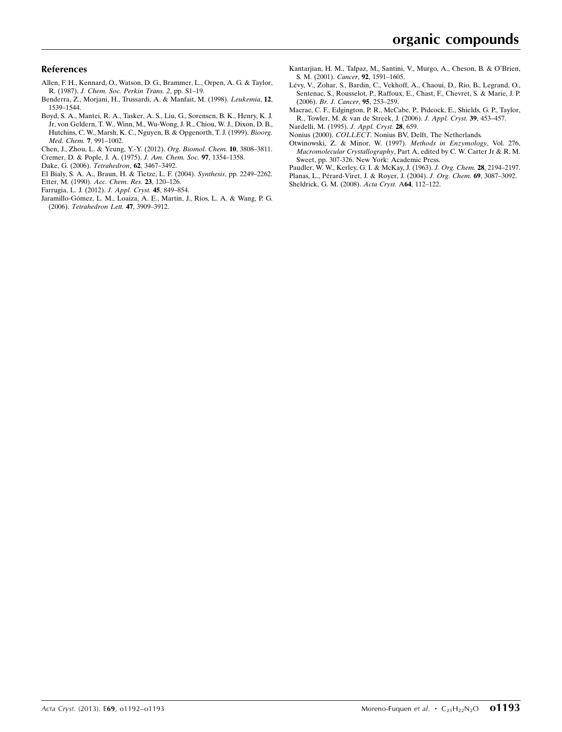### References

- [Allen, F. H., Kennard, O., Watson, D. G., Brammer, L., Orpen, A. G. & Taylor,](https://scripts.iucr.org/cgi-bin/cr.cgi?rm=pdfbb&cnor=hg5325&bbid=BB1) R. (1987). [J. Chem. Soc. Perkin Trans. 2](https://scripts.iucr.org/cgi-bin/cr.cgi?rm=pdfbb&cnor=hg5325&bbid=BB1), pp. S1–19.
- [Benderra, Z., Morjani, H., Trussardi, A. & Manfait, M. \(1998\).](https://scripts.iucr.org/cgi-bin/cr.cgi?rm=pdfbb&cnor=hg5325&bbid=BB2) Leukemia, 12, [1539–1544.](https://scripts.iucr.org/cgi-bin/cr.cgi?rm=pdfbb&cnor=hg5325&bbid=BB2)
- [Boyd, S. A., Mantei, R. A., Tasker, A. S., Liu, G., Sorensen, B. K., Henry, K. J.](https://scripts.iucr.org/cgi-bin/cr.cgi?rm=pdfbb&cnor=hg5325&bbid=BB3) [Jr, von Geldern, T. W., Winn, M., Wu-Wong, J. R., Chiou, W. J., Dixon, D. B.,](https://scripts.iucr.org/cgi-bin/cr.cgi?rm=pdfbb&cnor=hg5325&bbid=BB3) [Hutchins, C. W., Marsh, K. C., Nguyen, B. & Opgenorth, T. J. \(1999\).](https://scripts.iucr.org/cgi-bin/cr.cgi?rm=pdfbb&cnor=hg5325&bbid=BB3) Bioorg. [Med. Chem.](https://scripts.iucr.org/cgi-bin/cr.cgi?rm=pdfbb&cnor=hg5325&bbid=BB3) 7, 991–1002.
- [Chen, J., Zhou, L. & Yeung, Y.-Y. \(2012\).](https://scripts.iucr.org/cgi-bin/cr.cgi?rm=pdfbb&cnor=hg5325&bbid=BB4) Org. Biomol. Chem. 10, 3808–3811. [Cremer, D. & Pople, J. A. \(1975\).](https://scripts.iucr.org/cgi-bin/cr.cgi?rm=pdfbb&cnor=hg5325&bbid=BB5) J. Am. Chem. Soc. 97, 1354–1358.
- [Dake, G. \(2006\).](https://scripts.iucr.org/cgi-bin/cr.cgi?rm=pdfbb&cnor=hg5325&bbid=BB6) Tetrahedron, 62, 3467–3492.
- 
- [El Bialy, S. A. A., Braun, H. & Tietze, L. F. \(2004\).](https://scripts.iucr.org/cgi-bin/cr.cgi?rm=pdfbb&cnor=hg5325&bbid=BB7) Synthesis, pp. 2249–2262.
- [Etter, M. \(1990\).](https://scripts.iucr.org/cgi-bin/cr.cgi?rm=pdfbb&cnor=hg5325&bbid=BB8) Acc. Chem. Res. 23, 120–126.
- [Farrugia, L. J. \(2012\).](https://scripts.iucr.org/cgi-bin/cr.cgi?rm=pdfbb&cnor=hg5325&bbid=BB9) J. Appl. Cryst. 45, 849–854.
- Jaramillo-Gómez, L. M., Loaiza, A. E., Martin, J., Ríos, L. A. & Wang, P. G. (2006). [Tetrahedron Lett.](https://scripts.iucr.org/cgi-bin/cr.cgi?rm=pdfbb&cnor=hg5325&bbid=BB10) 47, 3909–3912.
- [Kantarjian, H. M., Talpaz, M., Santini, V., Murgo, A., Cheson, B. & O'Brien,](https://scripts.iucr.org/cgi-bin/cr.cgi?rm=pdfbb&cnor=hg5325&bbid=BB11) [S. M. \(2001\).](https://scripts.iucr.org/cgi-bin/cr.cgi?rm=pdfbb&cnor=hg5325&bbid=BB11) Cancer, 92, 1591–1605.
- Lévy, V., Zohar, S., Bardin, C., Vekhoff, A., Chaoui, D., Rio, B., Legrand, O., [Sentenac, S., Rousselot, P., Raffoux, E., Chast, F., Chevret, S. & Marie, J. P.](https://scripts.iucr.org/cgi-bin/cr.cgi?rm=pdfbb&cnor=hg5325&bbid=BB12) (2006). [Br. J. Cancer](https://scripts.iucr.org/cgi-bin/cr.cgi?rm=pdfbb&cnor=hg5325&bbid=BB12), 95, 253–259.
- [Macrae, C. F., Edgington, P. R., McCabe, P., Pidcock, E., Shields, G. P., Taylor,](https://scripts.iucr.org/cgi-bin/cr.cgi?rm=pdfbb&cnor=hg5325&bbid=BB13) [R., Towler, M. & van de Streek, J. \(2006\).](https://scripts.iucr.org/cgi-bin/cr.cgi?rm=pdfbb&cnor=hg5325&bbid=BB13) J. Appl. Cryst. 39, 453–457.
- [Nardelli, M. \(1995\).](https://scripts.iucr.org/cgi-bin/cr.cgi?rm=pdfbb&cnor=hg5325&bbid=BB14) J. Appl. Cryst. 28, 659.
- Nonius (2000). COLLECT[. Nonius BV, Delft, The Netherlands.](https://scripts.iucr.org/cgi-bin/cr.cgi?rm=pdfbb&cnor=hg5325&bbid=BB15) [Otwinowski, Z. & Minor, W. \(1997\).](https://scripts.iucr.org/cgi-bin/cr.cgi?rm=pdfbb&cnor=hg5325&bbid=BB16) Methods in Enzymology, Vol. 276, Macromolecular Crystallography[, Part A, edited by C. W. Carter Jr & R. M.](https://scripts.iucr.org/cgi-bin/cr.cgi?rm=pdfbb&cnor=hg5325&bbid=BB16) [Sweet, pp. 307-326. New York: Academic Press.](https://scripts.iucr.org/cgi-bin/cr.cgi?rm=pdfbb&cnor=hg5325&bbid=BB16)
- [Paudler, W. W., Kerley, G. I. & McKay, J. \(1963\).](https://scripts.iucr.org/cgi-bin/cr.cgi?rm=pdfbb&cnor=hg5325&bbid=BB17) J. Org. Chem. 28, 2194–2197.
- Planas, L., Pérard-Viret, J. & Royer, J. (2004). J. Org. Chem. 69, 3087-3092.
- [Sheldrick, G. M. \(2008\).](https://scripts.iucr.org/cgi-bin/cr.cgi?rm=pdfbb&cnor=hg5325&bbid=BB19) Acta Cryst. A64, 112–122.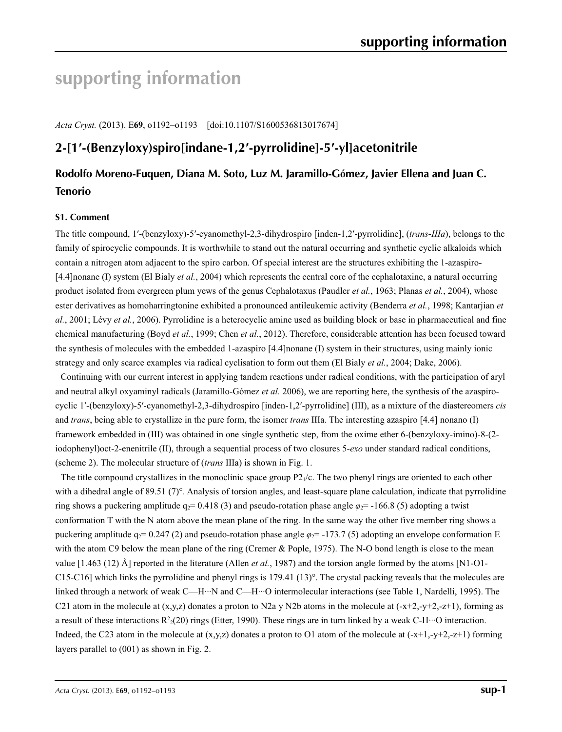# **supporting information**

*Acta Cryst.* (2013). E**69**, o1192–o1193 [doi:10.1107/S1600536813017674]

# **2-[1′-(Benzyloxy)spiro[indane-1,2′-pyrrolidine]-5′-yl]acetonitrile**

# **Rodolfo Moreno-Fuquen, Diana M. Soto, Luz M. Jaramillo-Gómez, Javier Ellena and Juan C. Tenorio**

### **S1. Comment**

The title compound, 1′-(benzyloxy)-5′-cyanomethyl-2,3-dihydrospiro [inden-1,2′-pyrrolidine], (*trans*-*IIIa*), belongs to the family of spirocyclic compounds. It is worthwhile to stand out the natural occurring and synthetic cyclic alkaloids which contain a nitrogen atom adjacent to the spiro carbon. Of special interest are the structures exhibiting the 1-azaspiro- [4.4]nonane (I) system (El Bialy *et al.*, 2004) which represents the central core of the cephalotaxine, a natural occurring product isolated from evergreen plum yews of the genus Cephalotaxus (Paudler *et al.*, 1963; Planas *et al.*, 2004), whose ester derivatives as homoharringtonine exhibited a pronounced antileukemic activity (Benderra *et al.*, 1998; Kantarjian *et al.*, 2001; Lévy *et al.*, 2006). Pyrrolidine is a heterocyclic amine used as building block or base in pharmaceutical and fine chemical manufacturing (Boyd *et al.*, 1999; Chen *et al.*, 2012). Therefore, considerable attention has been focused toward the synthesis of molecules with the embedded 1-azaspiro [4.4]nonane (I) system in their structures, using mainly ionic strategy and only scarce examples via radical cyclisation to form out them (El Bialy *et al.*, 2004; Dake, 2006).

Continuing with our current interest in applying tandem reactions under radical conditions, with the participation of aryl and neutral alkyl oxyaminyl radicals (Jaramillo-Gómez *et al.* 2006), we are reporting here, the synthesis of the azaspirocyclic 1′-(benzyloxy)-5′-cyanomethyl-2,3-dihydrospiro [inden-1,2′-pyrrolidine] (III), as a mixture of the diastereomers *cis* and *trans*, being able to crystallize in the pure form, the isomer *trans* IIIa. The interesting azaspiro [4.4] nonano (I) framework embedded in (III) was obtained in one single synthetic step, from the oxime ether 6-(benzyloxy-imino)-8-(2 iodophenyl)oct-2-enenitrile (II), through a sequential process of two closures 5-*exo* under standard radical conditions, (scheme 2). The molecular structure of (*trans* IIIa) is shown in Fig. 1.

The title compound crystallizes in the monoclinic space group  $P2<sub>1</sub>/c$ . The two phenyl rings are oriented to each other with a dihedral angle of 89.51 (7)°. Analysis of torsion angles, and least-square plane calculation, indicate that pyrrolidine ring shows a puckering amplitude  $q_2$ = 0.418 (3) and pseudo-rotation phase angle  $\varphi_2$ = -166.8 (5) adopting a twist conformation T with the N atom above the mean plane of the ring. In the same way the other five member ring shows a puckering amplitude  $q_2$ = 0.247 (2) and pseudo-rotation phase angle  $\varphi$ <sub>2</sub>= -173.7 (5) adopting an envelope conformation E with the atom C9 below the mean plane of the ring (Cremer & Pople, 1975). The N-O bond length is close to the mean value [1.463 (12) Å] reported in the literature (Allen *et al.*, 1987) and the torsion angle formed by the atoms [N1-O1- C15-C16] which links the pyrrolidine and phenyl rings is 179.41 (13)°. The crystal packing reveals that the molecules are linked through a network of weak C—H···N and C—H···O intermolecular interactions (see Table 1, Nardelli, 1995). The C21 atom in the molecule at  $(x,y,z)$  donates a proton to N2a y N2b atoms in the molecule at  $(-x+2,-y+2,-z+1)$ , forming as a result of these interactions  $R^2(20)$  rings (Etter, 1990). These rings are in turn linked by a weak C-H···O interaction. Indeed, the C23 atom in the molecule at  $(x,y,z)$  donates a proton to O1 atom of the molecule at  $(-x+1,-y+2,-z+1)$  forming layers parallel to (001) as shown in Fig. 2.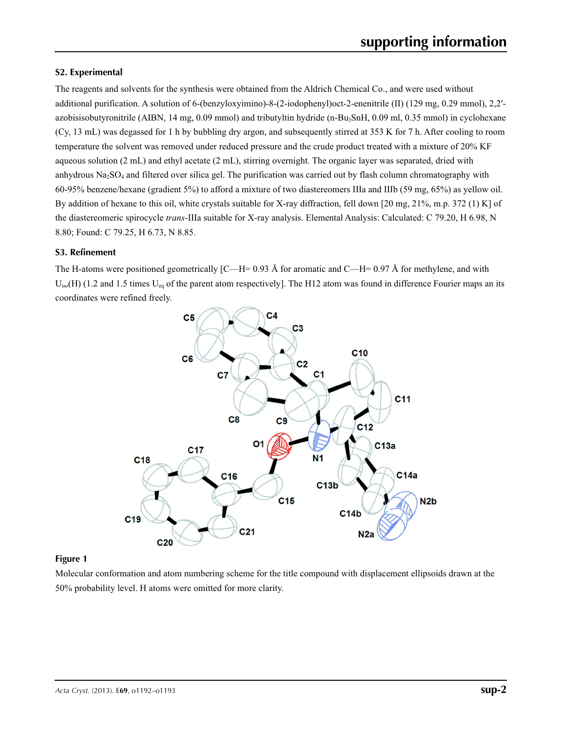### **S2. Experimental**

The reagents and solvents for the synthesis were obtained from the Aldrich Chemical Co., and were used without additional purification. A solution of 6-(benzyloxyimino)-8-(2-iodophenyl)oct-2-enenitrile (II) (129 mg, 0.29 mmol), 2,2′ azobisisobutyronitrile (AIBN, 14 mg, 0.09 mmol) and tributyltin hydride (n-Bu3SnH, 0.09 ml, 0.35 mmol) in cyclohexane (Cy, 13 mL) was degassed for 1 h by bubbling dry argon, and subsequently stirred at 353 K for 7 h. After cooling to room temperature the solvent was removed under reduced pressure and the crude product treated with a mixture of 20% KF aqueous solution (2 mL) and ethyl acetate (2 mL), stirring overnight. The organic layer was separated, dried with anhydrous  $Na<sub>2</sub>SO<sub>4</sub>$  and filtered over silica gel. The purification was carried out by flash column chromatography with 60-95% benzene/hexane (gradient 5%) to afford a mixture of two diastereomers IIIa and IIIb (59 mg, 65%) as yellow oil. By addition of hexane to this oil, white crystals suitable for X-ray diffraction, fell down [20 mg, 21%, m.p. 372 (1) K] of the diastereomeric spirocycle *trans*-IIIa suitable for X-ray analysis. Elemental Analysis: Calculated: C 79.20, H 6.98, N 8.80; Found: C 79.25, H 6.73, N 8.85.

### **S3. Refinement**

The H-atoms were positioned geometrically  $\text{[C—H= 0.93 Å}$  for aromatic and  $\text{C—H= 0.97 Å}$  for methylene, and with  $U_{iso}(H)$  (1.2 and 1.5 times  $U_{eq}$  of the parent atom respectively). The H12 atom was found in difference Fourier maps an its coordinates were refined freely.



## **Figure 1**

Molecular conformation and atom numbering scheme for the title compound with displacement ellipsoids drawn at the 50% probability level. H atoms were omitted for more clarity.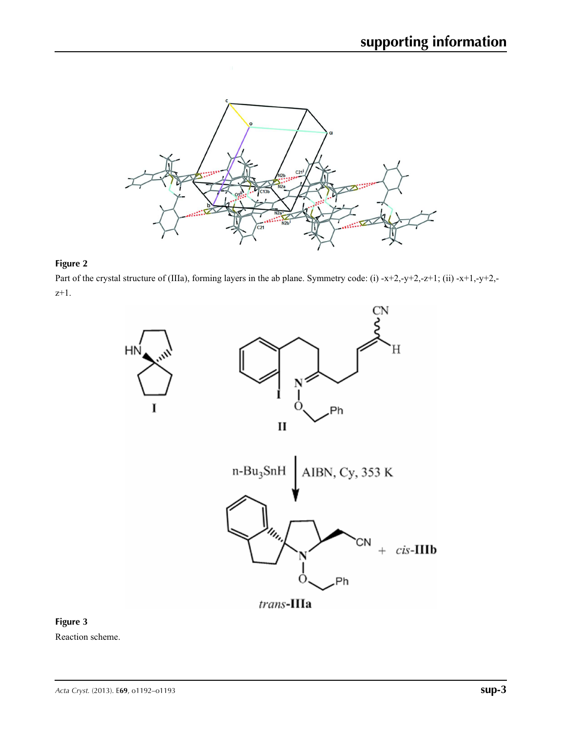

# **Figure 2**

Part of the crystal structure of (IIIa), forming layers in the ab plane. Symmetry code: (i) -x+2,-y+2,-z+1; (ii) -x+1,-y+2,z+1.





Reaction scheme.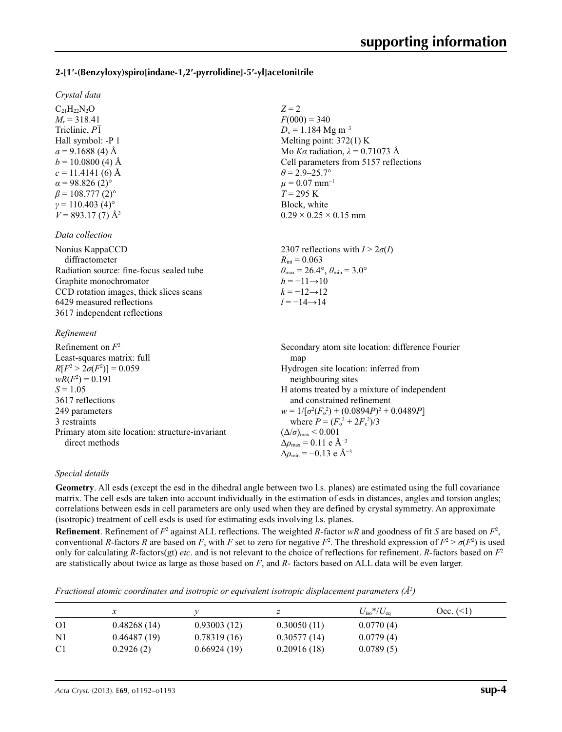## **2-[1′-(Benzyloxy)spiro[indane-1,2′-pyrrolidine]-5′-yl]acetonitrile**

 $C_{21}H_{22}N_{2}O$  $M_r = 318.41$ Triclinic, *P*1 Hall symbol: -P 1  $a = 9.1688$  (4) Å  $b = 10.0800$  (4) Å  $c = 11.4141(6)$  Å  $\alpha$  = 98.826 (2)<sup>o</sup>  $\beta$  = 108.777 (2)<sup>o</sup>  $\gamma = 110.403$  (4)<sup>o</sup>  $V = 893.17(7)$  Å<sup>3</sup>

*Data collection*

### *Refinement*

| Refinement on $F^2$                             | Secondary atom site location: difference Fourier   |
|-------------------------------------------------|----------------------------------------------------|
| Least-squares matrix: full                      | map                                                |
| $R[F^2 > 2\sigma(F^2)] = 0.059$                 | Hydrogen site location: inferred from              |
| $wR(F^2) = 0.191$                               | neighbouring sites                                 |
| $S = 1.05$                                      | H atoms treated by a mixture of independent        |
| 3617 reflections                                | and constrained refinement                         |
| 249 parameters                                  | $w = 1/[\sigma^2(F_0^2) + (0.0894P)^2 + 0.0489P]$  |
| 3 restraints                                    | where $P = (F_o^2 + 2F_c^2)/3$                     |
| Primary atom site location: structure-invariant | $(\Delta/\sigma)_{\text{max}}$ < 0.001             |
| direct methods                                  | $\Delta\rho_{\text{max}} = 0.11$ e Å <sup>-3</sup> |
|                                                 | $\Delta \rho_{\rm min} = -0.13$ e Å <sup>-3</sup>  |

### *Special details*

**Geometry**. All esds (except the esd in the dihedral angle between two l.s. planes) are estimated using the full covariance matrix. The cell esds are taken into account individually in the estimation of esds in distances, angles and torsion angles; correlations between esds in cell parameters are only used when they are defined by crystal symmetry. An approximate (isotropic) treatment of cell esds is used for estimating esds involving l.s. planes.

*Z* = 2

 $F(000) = 340$  $D_x = 1.184$  Mg m<sup>-3</sup> Melting point: 372(1) K Mo *Kα* radiation,  $\lambda = 0.71073$  Å Cell parameters from 5157 reflections

 $\theta$  = 2.9–25.7°  $\mu = 0.07$  mm<sup>-1</sup>  $T = 295$  K Block, white

 $0.29 \times 0.25 \times 0.15$  mm

**Refinement**. Refinement of  $F^2$  against ALL reflections. The weighted *R*-factor  $wR$  and goodness of fit *S* are based on  $F^2$ , conventional *R*-factors *R* are based on *F*, with *F* set to zero for negative  $F^2$ . The threshold expression of  $F^2 > \sigma(F^2)$  is used only for calculating *R*-factors(gt) *etc*. and is not relevant to the choice of reflections for refinement. *R*-factors based on *F*<sup>2</sup> are statistically about twice as large as those based on *F*, and *R*- factors based on ALL data will be even larger.

*Fractional atomic coordinates and isotropic or equivalent isotropic displacement parameters (Å<sup>2</sup>)* 

|                |             |             |             | $U_{\rm iso}$ */ $U_{\rm eq}$ | $Occ. ( \leq 1)$ |
|----------------|-------------|-------------|-------------|-------------------------------|------------------|
| O <sub>1</sub> | 0.48268(14) | 0.93003(12) | 0.30050(11) | 0.0770(4)                     |                  |
| N1             | 0.46487(19) | 0.78319(16) | 0.30577(14) | 0.0779(4)                     |                  |
| C <sub>1</sub> | 0.2926(2)   | 0.66924(19) | 0.20916(18) | 0.0789(5)                     |                  |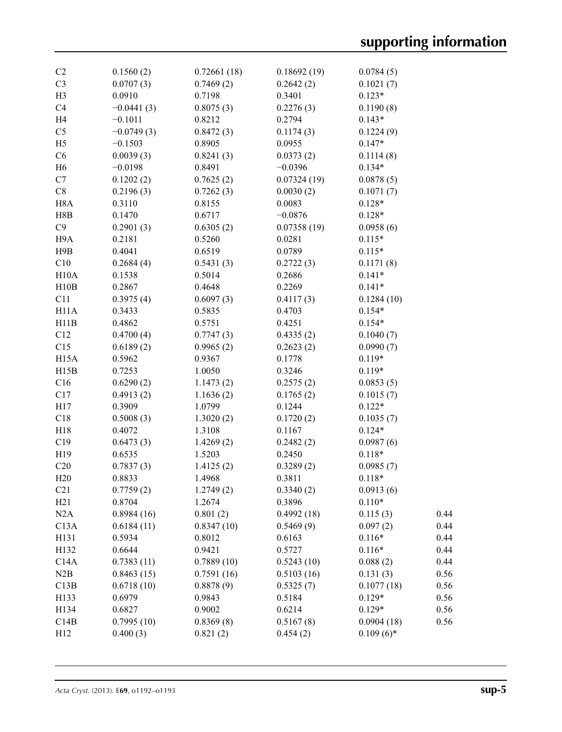| C <sub>2</sub>    | 0.1560(2)    | 0.72661(18) | 0.18692(19) | 0.0784(5)    |      |
|-------------------|--------------|-------------|-------------|--------------|------|
| C <sub>3</sub>    | 0.0707(3)    | 0.7469(2)   | 0.2642(2)   | 0.1021(7)    |      |
| H <sub>3</sub>    | 0.0910       | 0.7198      | 0.3401      | $0.123*$     |      |
| C4                | $-0.0441(3)$ | 0.8075(3)   | 0.2276(3)   | 0.1190(8)    |      |
| H <sub>4</sub>    | $-0.1011$    | 0.8212      | 0.2794      | $0.143*$     |      |
| C <sub>5</sub>    | $-0.0749(3)$ | 0.8472(3)   | 0.1174(3)   | 0.1224(9)    |      |
| H <sub>5</sub>    | $-0.1503$    | 0.8905      | 0.0955      | $0.147*$     |      |
| C6                | 0.0039(3)    | 0.8241(3)   | 0.0373(2)   | 0.1114(8)    |      |
| H <sub>6</sub>    | $-0.0198$    | 0.8491      | $-0.0396$   | $0.134*$     |      |
| C7                | 0.1202(2)    | 0.7625(2)   | 0.07324(19) | 0.0878(5)    |      |
| $\rm{C}8$         | 0.2196(3)    | 0.7262(3)   | 0.0030(2)   | 0.1071(7)    |      |
| H <sub>8</sub> A  | 0.3110       | 0.8155      | 0.0083      | $0.128*$     |      |
| H8B               | 0.1470       | 0.6717      | $-0.0876$   | $0.128*$     |      |
| C9                | 0.2901(3)    | 0.6305(2)   | 0.07358(19) | 0.0958(6)    |      |
| H9A               | 0.2181       | 0.5260      | 0.0281      | $0.115*$     |      |
| H9B               | 0.4041       | 0.6519      | 0.0789      | $0.115*$     |      |
| C10               | 0.2684(4)    | 0.5431(3)   | 0.2722(3)   | 0.1171(8)    |      |
| H10A              | 0.1538       | 0.5014      | 0.2686      | $0.141*$     |      |
| H10B              | 0.2867       | 0.4648      | 0.2269      | $0.141*$     |      |
|                   |              |             |             |              |      |
| C11               | 0.3975(4)    | 0.6097(3)   | 0.4117(3)   | 0.1284(10)   |      |
| H11A              | 0.3433       | 0.5835      | 0.4703      | $0.154*$     |      |
| H11B              | 0.4862       | 0.5751      | 0.4251      | $0.154*$     |      |
| C12               | 0.4700(4)    | 0.7747(3)   | 0.4335(2)   | 0.1040(7)    |      |
| C15               | 0.6189(2)    | 0.9965(2)   | 0.2623(2)   | 0.0990(7)    |      |
| H <sub>15</sub> A | 0.5962       | 0.9367      | 0.1778      | $0.119*$     |      |
| H15B              | 0.7253       | 1.0050      | 0.3246      | $0.119*$     |      |
| C16               | 0.6290(2)    | 1.1473(2)   | 0.2575(2)   | 0.0853(5)    |      |
| C17               | 0.4913(2)    | 1.1636(2)   | 0.1765(2)   | 0.1015(7)    |      |
| H17               | 0.3909       | 1.0799      | 0.1244      | $0.122*$     |      |
| C18               | 0.5008(3)    | 1.3020(2)   | 0.1720(2)   | 0.1035(7)    |      |
| H18               | 0.4072       | 1.3108      | 0.1167      | $0.124*$     |      |
| C19               | 0.6473(3)    | 1.4269(2)   | 0.2482(2)   | 0.0987(6)    |      |
| H19               | 0.6535       | 1.5203      | 0.2450      | $0.118*$     |      |
| C20               | 0.7837(3)    | 1.4125(2)   | 0.3289(2)   | 0.0985(7)    |      |
| H20               | 0.8833       | 1.4968      | 0.3811      | $0.118*$     |      |
| C <sub>21</sub>   | 0.7759(2)    | 1.2749(2)   | 0.3340(2)   | 0.0913(6)    |      |
| H21               | 0.8704       | 1.2674      | 0.3896      | $0.110*$     |      |
| N2A               | 0.8984(16)   | 0.801(2)    | 0.4992(18)  | 0.115(3)     | 0.44 |
| C13A              | 0.6184(11)   | 0.8347(10)  | 0.5469(9)   | 0.097(2)     | 0.44 |
| H131              | 0.5934       | 0.8012      | 0.6163      | $0.116*$     | 0.44 |
| H132              | 0.6644       | 0.9421      | 0.5727      | $0.116*$     | 0.44 |
| C14A              | 0.7383(11)   | 0.7889(10)  | 0.5243(10)  | 0.088(2)     | 0.44 |
| N2B               | 0.8463(15)   | 0.7591(16)  | 0.5103(16)  | 0.131(3)     | 0.56 |
| C13B              | 0.6718(10)   | 0.8878(9)   | 0.5325(7)   | 0.1077(18)   | 0.56 |
| H133              | 0.6979       | 0.9843      | 0.5184      | $0.129*$     | 0.56 |
| H134              | 0.6827       | 0.9002      | 0.6214      | $0.129*$     | 0.56 |
|                   |              |             |             |              |      |
| C14B              | 0.7995(10)   | 0.8369(8)   | 0.5167(8)   | 0.0904(18)   | 0.56 |
| H12               | 0.400(3)     | 0.821(2)    | 0.454(2)    | $0.109(6)$ * |      |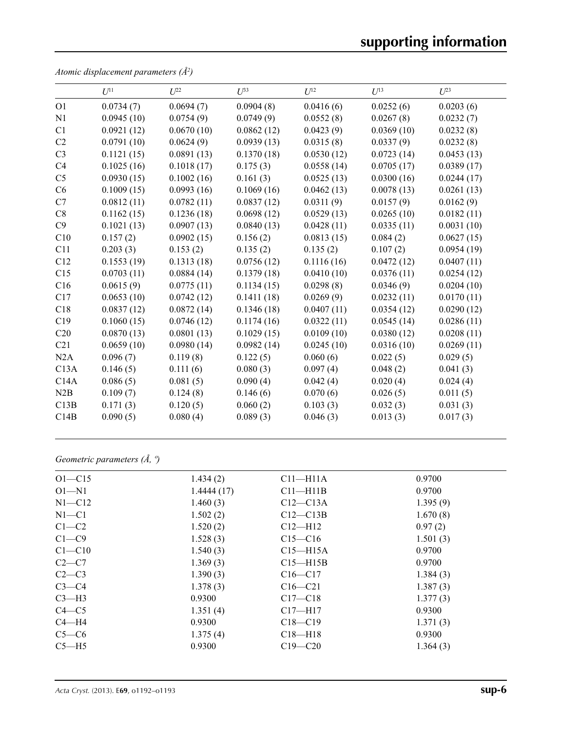|                | $U^{11}$   | $U^{22}$   | $U^{33}$   | $U^{12}$   | $U^{13}$   | $U^{23}$   |
|----------------|------------|------------|------------|------------|------------|------------|
| O <sub>1</sub> | 0.0734(7)  | 0.0694(7)  | 0.0904(8)  | 0.0416(6)  | 0.0252(6)  | 0.0203(6)  |
| N <sub>1</sub> | 0.0945(10) | 0.0754(9)  | 0.0749(9)  | 0.0552(8)  | 0.0267(8)  | 0.0232(7)  |
| C1             | 0.0921(12) | 0.0670(10) | 0.0862(12) | 0.0423(9)  | 0.0369(10) | 0.0232(8)  |
| C2             | 0.0791(10) | 0.0624(9)  | 0.0939(13) | 0.0315(8)  | 0.0337(9)  | 0.0232(8)  |
| C <sub>3</sub> | 0.1121(15) | 0.0891(13) | 0.1370(18) | 0.0530(12) | 0.0723(14) | 0.0453(13) |
| C <sub>4</sub> | 0.1025(16) | 0.1018(17) | 0.175(3)   | 0.0558(14) | 0.0705(17) | 0.0389(17) |
| C <sub>5</sub> | 0.0930(15) | 0.1002(16) | 0.161(3)   | 0.0525(13) | 0.0300(16) | 0.0244(17) |
| C6             | 0.1009(15) | 0.0993(16) | 0.1069(16) | 0.0462(13) | 0.0078(13) | 0.0261(13) |
| C7             | 0.0812(11) | 0.0782(11) | 0.0837(12) | 0.0311(9)  | 0.0157(9)  | 0.0162(9)  |
| C8             | 0.1162(15) | 0.1236(18) | 0.0698(12) | 0.0529(13) | 0.0265(10) | 0.0182(11) |
| C9             | 0.1021(13) | 0.0907(13) | 0.0840(13) | 0.0428(11) | 0.0335(11) | 0.0031(10) |
| C10            | 0.157(2)   | 0.0902(15) | 0.156(2)   | 0.0813(15) | 0.084(2)   | 0.0627(15) |
| C11            | 0.203(3)   | 0.153(2)   | 0.135(2)   | 0.135(2)   | 0.107(2)   | 0.0954(19) |
| C12            | 0.1553(19) | 0.1313(18) | 0.0756(12) | 0.1116(16) | 0.0472(12) | 0.0407(11) |
| C15            | 0.0703(11) | 0.0884(14) | 0.1379(18) | 0.0410(10) | 0.0376(11) | 0.0254(12) |
| C16            | 0.0615(9)  | 0.0775(11) | 0.1134(15) | 0.0298(8)  | 0.0346(9)  | 0.0204(10) |
| C17            | 0.0653(10) | 0.0742(12) | 0.1411(18) | 0.0269(9)  | 0.0232(11) | 0.0170(11) |
| C18            | 0.0837(12) | 0.0872(14) | 0.1346(18) | 0.0407(11) | 0.0354(12) | 0.0290(12) |
| C19            | 0.1060(15) | 0.0746(12) | 0.1174(16) | 0.0322(11) | 0.0545(14) | 0.0286(11) |
| C20            | 0.0870(13) | 0.0801(13) | 0.1029(15) | 0.0109(10) | 0.0380(12) | 0.0208(11) |
| C21            | 0.0659(10) | 0.0980(14) | 0.0982(14) | 0.0245(10) | 0.0316(10) | 0.0269(11) |
| N2A            | 0.096(7)   | 0.119(8)   | 0.122(5)   | 0.060(6)   | 0.022(5)   | 0.029(5)   |
| C13A           | 0.146(5)   | 0.111(6)   | 0.080(3)   | 0.097(4)   | 0.048(2)   | 0.041(3)   |
| C14A           | 0.086(5)   | 0.081(5)   | 0.090(4)   | 0.042(4)   | 0.020(4)   | 0.024(4)   |
| N2B            | 0.109(7)   | 0.124(8)   | 0.146(6)   | 0.070(6)   | 0.026(5)   | 0.011(5)   |
| C13B           | 0.171(3)   | 0.120(5)   | 0.060(2)   | 0.103(3)   | 0.032(3)   | 0.031(3)   |
| C14B           | 0.090(5)   | 0.080(4)   | 0.089(3)   | 0.046(3)   | 0.013(3)   | 0.017(3)   |

*Atomic displacement parameters (Å2 )*

*Geometric parameters (Å, º)*

| $O1 - C15$ | 1.434(2)   | $C11 - H11A$ | 0.9700   |
|------------|------------|--------------|----------|
| $O1 - N1$  | 1.4444(17) | $C11 - H11B$ | 0.9700   |
| $N1 - C12$ | 1.460(3)   | $C12-C13A$   | 1.395(9) |
| $N1 - C1$  | 1.502(2)   | $C12-C13B$   | 1.670(8) |
| $C1-C2$    | 1.520(2)   | $C12-H12$    | 0.97(2)  |
| $C1 - C9$  | 1.528(3)   | $C15 - C16$  | 1.501(3) |
| $C1 - C10$ | 1.540(3)   | $C15 - H15A$ | 0.9700   |
| $C2-C7$    | 1.369(3)   | $C15 - H15B$ | 0.9700   |
| $C2-C3$    | 1.390(3)   | $C16 - C17$  | 1.384(3) |
| $C3-C4$    | 1.378(3)   | $C16 - C21$  | 1.387(3) |
| $C3-H3$    | 0.9300     | $C17 - C18$  | 1.377(3) |
| $C4 - C5$  | 1.351(4)   | $C17 - H17$  | 0.9300   |
| $C4 - H4$  | 0.9300     | $C18 - C19$  | 1.371(3) |
| $C5-C6$    | 1.375(4)   | $C18 - H18$  | 0.9300   |
| $C5 - H5$  | 0.9300     | $C19 - C20$  | 1.364(3) |
|            |            |              |          |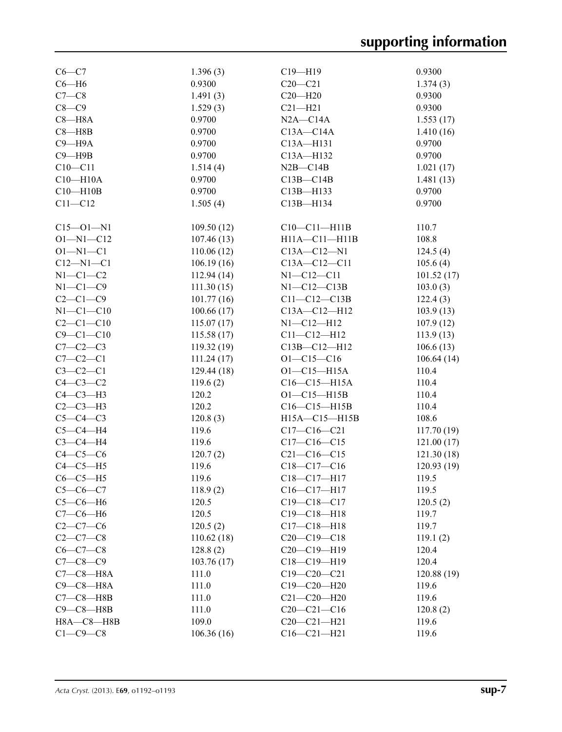| $C6 - C7$        | 1.396(3)   | $C19 - H19$        | 0.9300     |
|------------------|------------|--------------------|------------|
| $C6 - H6$        | 0.9300     | $C20 - C21$        | 1.374(3)   |
| $C7-C8$          | 1.491(3)   | $C20 - H20$        | 0.9300     |
|                  |            |                    |            |
| $C8-C9$          | 1.529(3)   | $C21 - H21$        | 0.9300     |
| $C8 - H8A$       | 0.9700     | $N2A - C14A$       | 1.553(17)  |
| $C8 - H8B$       | 0.9700     | $C13A - C14A$      | 1.410(16)  |
| $C9 - H9A$       | 0.9700     | C13A-H131          | 0.9700     |
| $C9 - H9B$       | 0.9700     | C13A-H132          | 0.9700     |
| $C10 - C11$      | 1.514(4)   | $N2B - C14B$       | 1.021(17)  |
| $C10 - H10A$     | 0.9700     | $C13B - C14B$      | 1.481(13)  |
| $C10 - H10B$     | 0.9700     | C13B-H133          | 0.9700     |
| $C11 - C12$      | 1.505(4)   | C13B-H134          | 0.9700     |
|                  |            |                    |            |
| $C15 - 01 - N1$  | 109.50(12) | $C10-C11-H11B$     | 110.7      |
| $O1 - N1 - C12$  | 107.46(13) | H11A-C11-H11B      | 108.8      |
| $O1 - N1 - C1$   | 110.06(12) | $C13A - C12 - N1$  | 124.5(4)   |
| $C12 - N1 - C1$  | 106.19(16) | $C13A - C12 - C11$ | 105.6(4)   |
| $N1-C1-C2$       | 112.94(14) | $N1 - C12 - C11$   | 101.52(17) |
| $N1-C1-C9$       | 111.30(15) | $N1-C12-C13B$      | 103.0(3)   |
| $C2-C1-C9$       | 101.77(16) | $C11 - C12 - C13B$ | 122.4(3)   |
| $N1-C1-C10$      | 100.66(17) | C13A-C12-H12       | 103.9(13)  |
| $C2 - C1 - C10$  | 115.07(17) | $N1 - C12 - H12$   | 107.9(12)  |
| $C9 - C1 - C10$  | 115.58(17) | $C11 - C12 - H12$  | 113.9(13)  |
| $C7-C2-C3$       |            |                    |            |
|                  | 119.32(19) | C13B-C12-H12       | 106.6(13)  |
| $C7-C2-C1$       | 111.24(17) | $O1 - C15 - C16$   | 106.64(14) |
| $C3-C2-C1$       | 129.44(18) | $O1 - C15 - H15A$  | 110.4      |
| $C4-C3-C2$       | 119.6(2)   | $C16-C15-H15A$     | 110.4      |
| $C4-C3-H3$       | 120.2      | $O1 - C15 - H15B$  | 110.4      |
| $C2-C3-H3$       | 120.2      | $C16-C15-H15B$     | 110.4      |
| $C5-C4-C3$       | 120.8(3)   | H15A-C15-H15B      | 108.6      |
| $C5-C4-H4$       | 119.6      | $C17 - C16 - C21$  | 117.70(19) |
| $C3-C4-H4$       | 119.6      | $C17 - C16 - C15$  | 121.00(17) |
| $C4-C5-C6$       | 120.7(2)   | $C21 - C16 - C15$  | 121.30(18) |
| $C4-C5-H5$       | 119.6      | $C18 - C17 - C16$  | 120.93(19) |
| $C6-C5-H5$       | 119.6      | C18-C17-H17        | 119.5      |
| $C5-C6-C7$       | 118.9(2)   | $C16 - C17 - H17$  | 119.5      |
| $C5-C6-H6$       | 120.5      | $C19 - C18 - C17$  | 120.5(2)   |
| $C7-C6-H6$       | 120.5      | $C19 - C18 - H18$  | 119.7      |
| $C2 - C7 - C6$   | 120.5(2)   | $C17 - C18 - H18$  | 119.7      |
| $C2-C7-C8$       | 110.62(18) | $C20-C19-C18$      | 119.1(2)   |
| $C6-C7-C8$       | 128.8(2)   | $C20-C19-H19$      | 120.4      |
| $C7 - C8 - C9$   | 103.76(17) | $C18 - C19 - H19$  | 120.4      |
| $C7-C8-H8A$      | 111.0      | $C19 - C20 - C21$  | 120.88(19) |
| $C9-C8-H8A$      | 111.0      | $C19 - C20 - H20$  | 119.6      |
| $C7-C8—H8B$      | 111.0      | $C21 - C20 - H20$  | 119.6      |
| $C9 - C8 - H8B$  | 111.0      | $C20-C21-C16$      | 120.8(2)   |
| $H8A - C8 - H8B$ | 109.0      | $C20 - C21 - H21$  | 119.6      |
| $C1-C9-C8$       |            |                    |            |
|                  | 106.36(16) | $C16 - C21 - H21$  | 119.6      |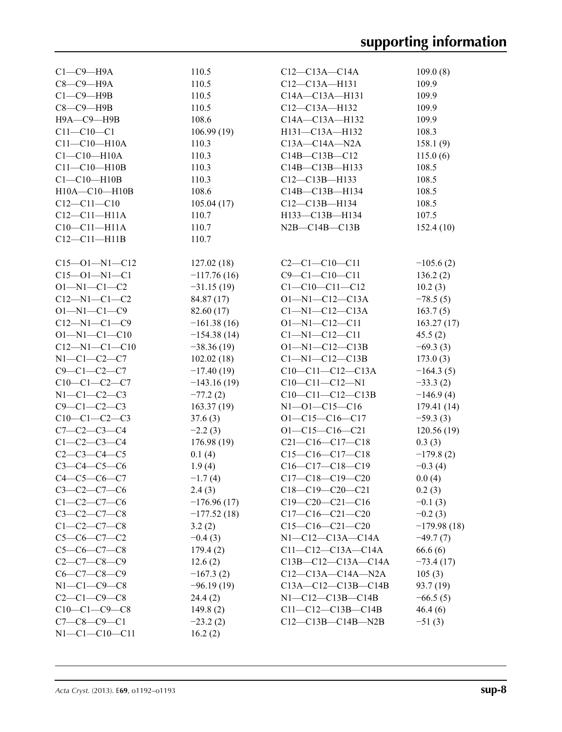| $C1-C9-H9A$           | 110.5         | $C12-C13A-C14A$            | 109.0(8)      |
|-----------------------|---------------|----------------------------|---------------|
| $C8-C9-H9A$           | 110.5         | $C12-C13A-H131$            | 109.9         |
| $C1-C9-$ H9B          | 110.5         | C14A-C13A-H131             | 109.9         |
| $C8-C9$ —H9B          | 110.5         | C12-C13A-H132              | 109.9         |
| Н9А-С9-Н9В            | 108.6         | $C14A - C13A - H132$       | 109.9         |
| $C11 - C10 - C1$      | 106.99(19)    | H131-C13A-H132             | 108.3         |
| $C11-C10-H10A$        | 110.3         | $C13A - C14A - N2A$        | 158.1(9)      |
| $C1-C10-H10A$         | 110.3         | $C14B - C13B - C12$        | 115.0(6)      |
| $C11 - C10 - H10B$    | 110.3         | C14B-C13B-H133             | 108.5         |
| $C1-C10-H10B$         | 110.3         | $C12-C13B-H133$            | 108.5         |
| $H10A - C10 - H10B$   | 108.6         | C14B-C13B-H134             | 108.5         |
| $C12 - C11 - C10$     | 105.04(17)    | $C12-C13B-H134$            | 108.5         |
| $C12-C11-H11A$        | 110.7         | H133-C13B-H134             | 107.5         |
| $C10-C11-H11A$        | 110.7         | $N2B - C14B - C13B$        | 152.4(10)     |
| $C12-C11-H11B$        | 110.7         |                            |               |
|                       |               |                            |               |
| $C15 - 01 - N1 - C12$ | 127.02(18)    | $C2-C1-C10-C11$            | $-105.6(2)$   |
| $C15 - 01 - N1 - C1$  | $-117.76(16)$ | $C9 - C1 - C10 - C11$      | 136.2(2)      |
| $O1 - N1 - C1 - C2$   | $-31.15(19)$  | $C1 - C10 - C11 - C12$     | 10.2(3)       |
| $C12 - N1 - C1 - C2$  | 84.87 (17)    | $O1 - N1 - C12 - C13A$     | $-78.5(5)$    |
| $O1 - N1 - C1 - C9$   | 82.60 (17)    | $Cl-M1-C12-C13A$           | 163.7(5)      |
| $C12 - N1 - C1 - C9$  | $-161.38(16)$ | $O1 - N1 - C12 - C11$      | 163.27(17)    |
| $O1 - N1 - C1 - C10$  | $-154.38(14)$ | $Cl-M1-C12-C11$            | 45.5(2)       |
| $C12 - N1 - C1 - C10$ | $-38.36(19)$  | $O1 - N1 - C12 - C13B$     | $-69.3(3)$    |
| $N1 - C1 - C2 - C7$   | 102.02(18)    | $Cl-M1-C12-C13B$           | 173.0(3)      |
| $C9 - C1 - C2 - C7$   | $-17.40(19)$  | $C10-C11-C12-C13A$         | $-164.3(5)$   |
| $C10-C1-C2-C7$        | $-143.16(19)$ | $C10-C11-C12-N1$           | $-33.3(2)$    |
| $N1-C1-C2-C3$         | $-77.2(2)$    | $C10-C11-C12-C13B$         | $-146.9(4)$   |
| $C9 - C1 - C2 - C3$   | 163.37(19)    | $N1 - 01 - C15 - C16$      | 179.41 (14)   |
| $C10-C1-C2-C3$        | 37.6(3)       | $O1 - C15 - C16 - C17$     | $-59.3(3)$    |
| $C7 - C2 - C3 - C4$   | $-2.2(3)$     | $O1 - C15 - C16 - C21$     | 120.56(19)    |
| $C1 - C2 - C3 - C4$   | 176.98(19)    | $C21-C16-C17-C18$          | 0.3(3)        |
| $C2-C3-C4-C5$         | 0.1(4)        | $C15-C16-C17-C18$          | $-179.8(2)$   |
| $C3 - C4 - C5 - C6$   | 1.9(4)        | $C16-C17-C18-C19$          | $-0.3(4)$     |
| $C4 - C5 - C6 - C7$   | $-1.7(4)$     | $C17-C18-C19-C20$          | 0.0(4)        |
| $C3-C2-C7-C6$         | 2.4(3)        | $C18-C19-C20-C21$          | 0.2(3)        |
| $C1 - C2 - C7 - C6$   | $-176.96(17)$ | $C19-C20-C21-C16$          | $-0.1(3)$     |
| $C3 - C2 - C7 - C8$   | $-177.52(18)$ | $C17-C16-C21-C20$          | $-0.2(3)$     |
| $C1 - C2 - C7 - C8$   | 3.2(2)        | $C15-C16-C21-C20$          | $-179.98(18)$ |
| $C5-C6-C7-C2$         | $-0.4(3)$     | $N1-C12-C13A-C14A$         | $-49.7(7)$    |
| $C5-C6-C7-C8$         | 179.4(2)      | $C11-C12-C13A-C14A$        | 66.6(6)       |
| $C2-C7-C8-C9$         | 12.6(2)       | C13B-C12-C13A-C14A         | $-73.4(17)$   |
| $C6-C7-C8-C9$         | $-167.3(2)$   | $C12-C13A-C14A-NA$         | 105(3)        |
| $N1-C1-C9-C8$         | $-96.19(19)$  | $C13A - C12 - C13B - C14B$ | 93.7 (19)     |
| $C2-C1-C9-C8$         | 24.4 (2)      | $N1-C12-C13B-C14B$         | $-66.5(5)$    |
| $C10-C1-C9-C8$        | 149.8(2)      | $C11-C12-C13B-C14B$        | 46.4(6)       |
| $C7 - C8 - C9 - C1$   | $-23.2(2)$    | $C12-C13B-C14B- N2B$       | $-51(3)$      |
| $N1-C1-C10-C11$       | 16.2(2)       |                            |               |